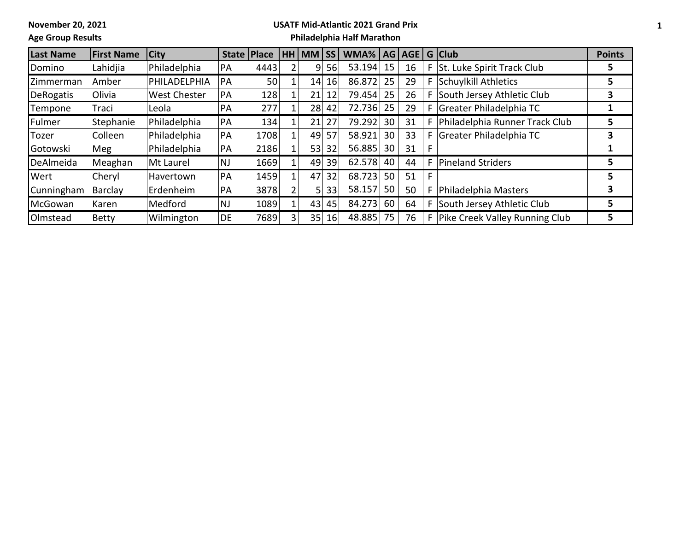**November 20, 2021**

## **USATF Mid-Atlantic 2021 Grand Prix**

**Age Group Results**

## **Philadelphia Half Marathon**

| <b>Last Name</b> | <b>First Name</b> | <b>City</b>         | <b>State</b> | <b>Place</b> | <b>HH</b> | MM | <b>SS</b> | WMA%      | AG | AGE |                | G Club                           | <b>Points</b> |
|------------------|-------------------|---------------------|--------------|--------------|-----------|----|-----------|-----------|----|-----|----------------|----------------------------------|---------------|
| Domino           | Lahidjia          | Philadelphia        | PA           | 4443         |           | 9  | 56        | 53.194    | 15 | 16  | F <sub>1</sub> | St. Luke Spirit Track Club       |               |
| Zimmerman        | Amber             | PHILADELPHIA        | PA           | 50           |           | 14 | 16        | 86.872    | 25 | 29  | F.             | Schuylkill Athletics             |               |
| DeRogatis        | <b>Olivia</b>     | <b>West Chester</b> | PA           | 128          |           | 21 | 12        | 79.454 25 |    | 26  | F.             | South Jersey Athletic Club       | 3             |
| Tempone          | Traci             | Leola               | PA           | 277          |           | 28 | 42        | 72.736 25 |    | 29  | F              | Greater Philadelphia TC          |               |
| Fulmer           | Stephanie         | Philadelphia        | PA           | 134          |           | 21 | 27        | 79.292    | 30 | 31  |                | F Philadelphia Runner Track Club | 5             |
| Tozer            | Colleen           | Philadelphia        | PA           | 1708         |           | 49 | 57        | 58.921    | 30 | 33  |                | F Greater Philadelphia TC        | 3             |
| Gotowski         | Meg               | Philadelphia        | PA           | 2186         |           | 53 | 32        | 56.885    | 30 | 31  | F              |                                  |               |
| DeAlmeida        | Meaghan           | Mt Laurel           | <b>NJ</b>    | 1669         |           | 49 | 39        | 62.578    | 40 | 44  | F              | <b>Pineland Striders</b>         |               |
| Wert             | Cheryl            | Havertown           | <b>PA</b>    | 1459         |           | 47 | 32        | 68.723    | 50 | 51  | F              |                                  | 5             |
| Cunningham       | Barclay           | Erdenheim           | PA           | 3878         |           | 5. | 33        | 58.157    | 50 | 50  | F              | Philadelphia Masters             | 3             |
| McGowan          | Karen             | Medford             | <b>NJ</b>    | 1089         |           | 43 | 45        | 84.273    | 60 | 64  | F              | South Jersey Athletic Club       | 5             |
| Olmstead         | Betty             | Wilmington          | DE           | 7689         |           | 35 | 16        | 48.885    | 75 | 76  | F              | Pike Creek Valley Running Club   | 5             |